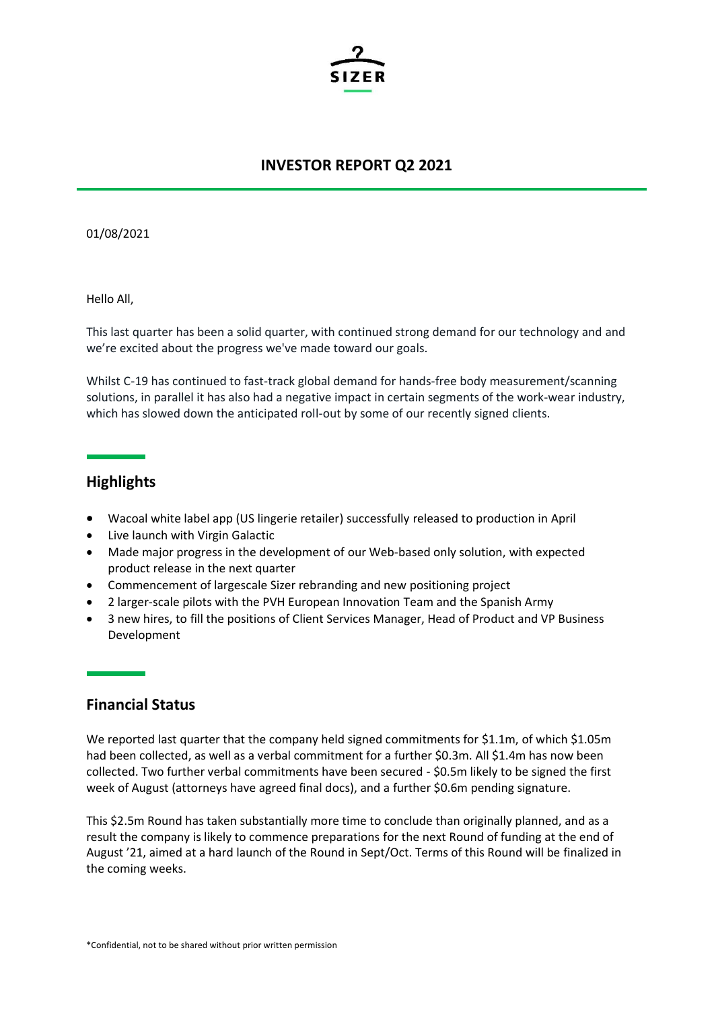

### **INVESTOR REPORT Q2 2021**

01/08/2021

Hello All,

This last quarter has been a solid quarter, with continued strong demand for our technology and and we're excited about the progress we've made toward our goals.

Whilst C-19 has continued to fast-track global demand for hands-free body measurement/scanning solutions, in parallel it has also had a negative impact in certain segments of the work-wear industry, which has slowed down the anticipated roll-out by some of our recently signed clients.

## **Highlights**

- Wacoal white label app (US lingerie retailer) successfully released to production in April
- Live launch with Virgin Galactic
- Made major progress in the development of our Web-based only solution, with expected product release in the next quarter
- Commencement of largescale Sizer rebranding and new positioning project
- 2 larger-scale pilots with the PVH European Innovation Team and the Spanish Army
- 3 new hires, to fill the positions of Client Services Manager, Head of Product and VP Business Development

#### **Financial Status**

We reported last quarter that the company held signed commitments for \$1.1m, of which \$1.05m had been collected, as well as a verbal commitment for a further \$0.3m. All \$1.4m has now been collected. Two further verbal commitments have been secured - \$0.5m likely to be signed the first week of August (attorneys have agreed final docs), and a further \$0.6m pending signature.

This \$2.5m Round has taken substantially more time to conclude than originally planned, and as a result the company is likely to commence preparations for the next Round of funding at the end of August '21, aimed at a hard launch of the Round in Sept/Oct. Terms of this Round will be finalized in the coming weeks.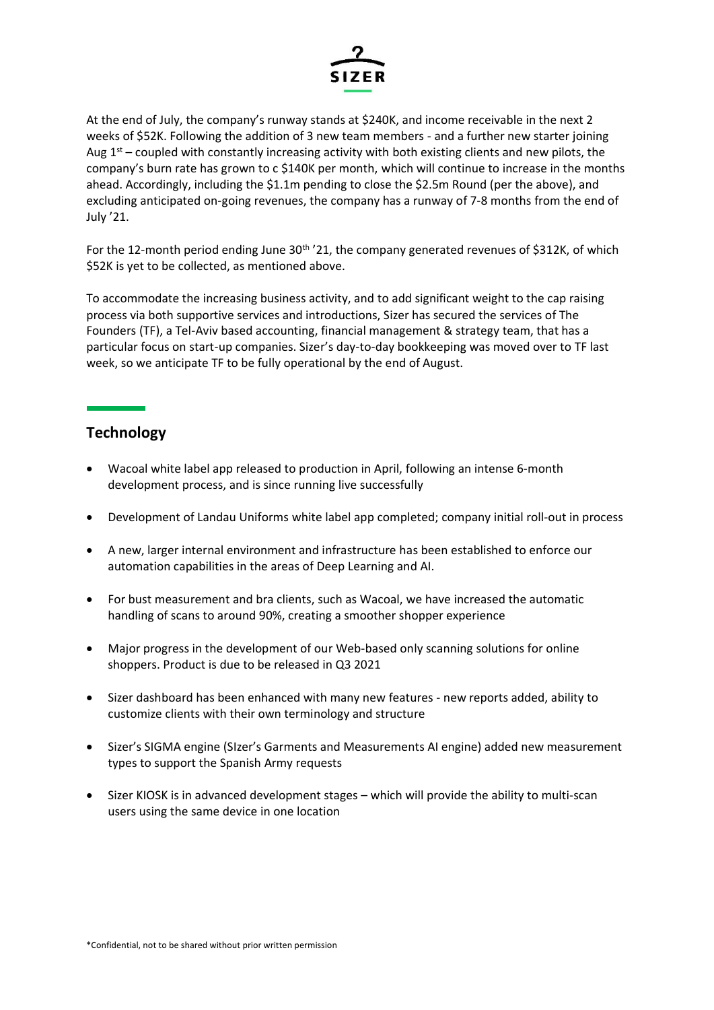

At the end of July, the company's runway stands at \$240K, and income receivable in the next 2 weeks of \$52K. Following the addition of 3 new team members - and a further new starter joining Aug  $1<sup>st</sup>$  – coupled with constantly increasing activity with both existing clients and new pilots, the company's burn rate has grown to c \$140K per month, which will continue to increase in the months ahead. Accordingly, including the \$1.1m pending to close the \$2.5m Round (per the above), and excluding anticipated on-going revenues, the company has a runway of 7-8 months from the end of July '21.

For the 12-month period ending June 30<sup>th</sup> '21, the company generated revenues of \$312K, of which \$52K is yet to be collected, as mentioned above.

To accommodate the increasing business activity, and to add significant weight to the cap raising process via both supportive services and introductions, Sizer has secured the services of The Founders (TF), a Tel-Aviv based accounting, financial management & strategy team, that has a particular focus on start-up companies. Sizer's day-to-day bookkeeping was moved over to TF last week, so we anticipate TF to be fully operational by the end of August.

# **Technology**

- Wacoal white label app released to production in April, following an intense 6-month development process, and is since running live successfully
- Development of Landau Uniforms white label app completed; company initial roll-out in process
- A new, larger internal environment and infrastructure has been established to enforce our automation capabilities in the areas of Deep Learning and AI.
- For bust measurement and bra clients, such as Wacoal, we have increased the automatic handling of scans to around 90%, creating a smoother shopper experience
- Major progress in the development of our Web-based only scanning solutions for online shoppers. Product is due to be released in Q3 2021
- Sizer dashboard has been enhanced with many new features new reports added, ability to customize clients with their own terminology and structure
- Sizer's SIGMA engine (SIzer's Garments and Measurements AI engine) added new measurement types to support the Spanish Army requests
- Sizer KIOSK is in advanced development stages which will provide the ability to multi-scan users using the same device in one location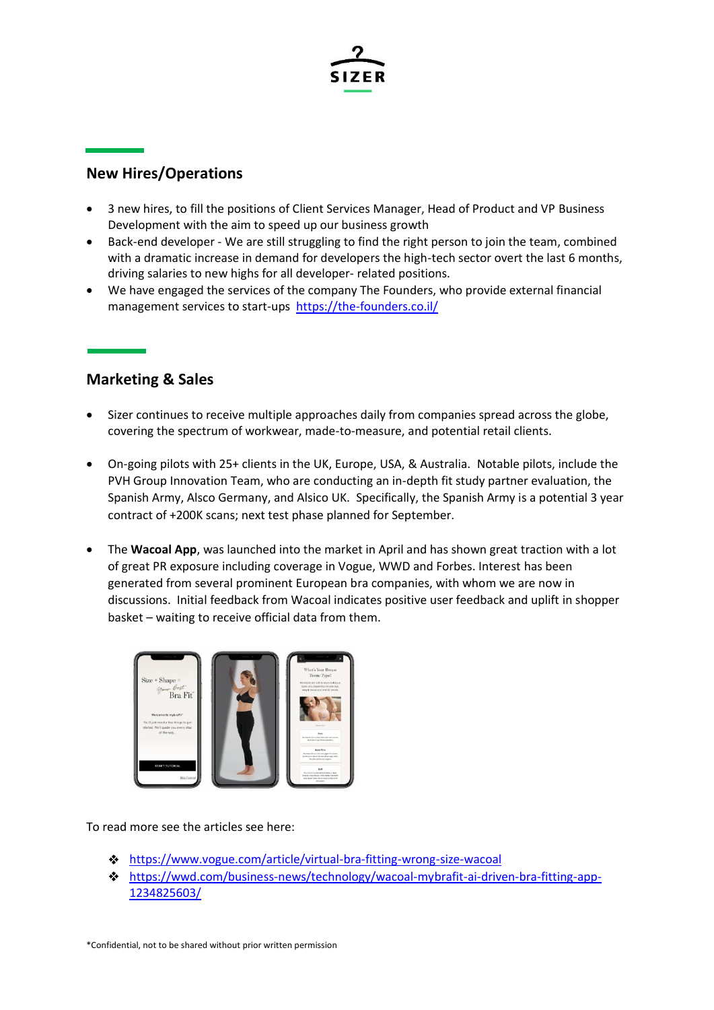

# **New Hires/Operations**

- 3 new hires, to fill the positions of Client Services Manager, Head of Product and VP Business Development with the aim to speed up our business growth
- Back-end developer We are still struggling to find the right person to join the team, combined with a dramatic increase in demand for developers the high-tech sector overt the last 6 months, driving salaries to new highs for all developer- related positions.
- We have engaged the services of the company The Founders, who provide external financial management services to start-ups <https://the-founders.co.il/>

## **Marketing & Sales**

- Sizer continues to receive multiple approaches daily from companies spread across the globe, covering the spectrum of workwear, made-to-measure, and potential retail clients.
- On-going pilots with 25+ clients in the UK, Europe, USA, & Australia. Notable pilots, include the PVH Group Innovation Team, who are conducting an in-depth fit study partner evaluation, the Spanish Army, Alsco Germany, and Alsico UK. Specifically, the Spanish Army is a potential 3 year contract of +200K scans; next test phase planned for September.
- The **Wacoal App**, was launched into the market in April and has shown great traction with a lot of great PR exposure including coverage in Vogue, WWD and Forbes. Interest has been generated from several prominent European bra companies, with whom we are now in discussions. Initial feedback from Wacoal indicates positive user feedback and uplift in shopper basket – waiting to receive official data from them.



To read more see the articles see here:

- <https://www.vogue.com/article/virtual-bra-fitting-wrong-size-wacoal>
- [https://wwd.com/business-news/technology/wacoal-mybrafit-ai-driven-bra-fitting-app-](https://wwd.com/business-news/technology/wacoal-mybrafit-ai-driven-bra-fitting-app-1234825603/)[1234825603/](https://wwd.com/business-news/technology/wacoal-mybrafit-ai-driven-bra-fitting-app-1234825603/)